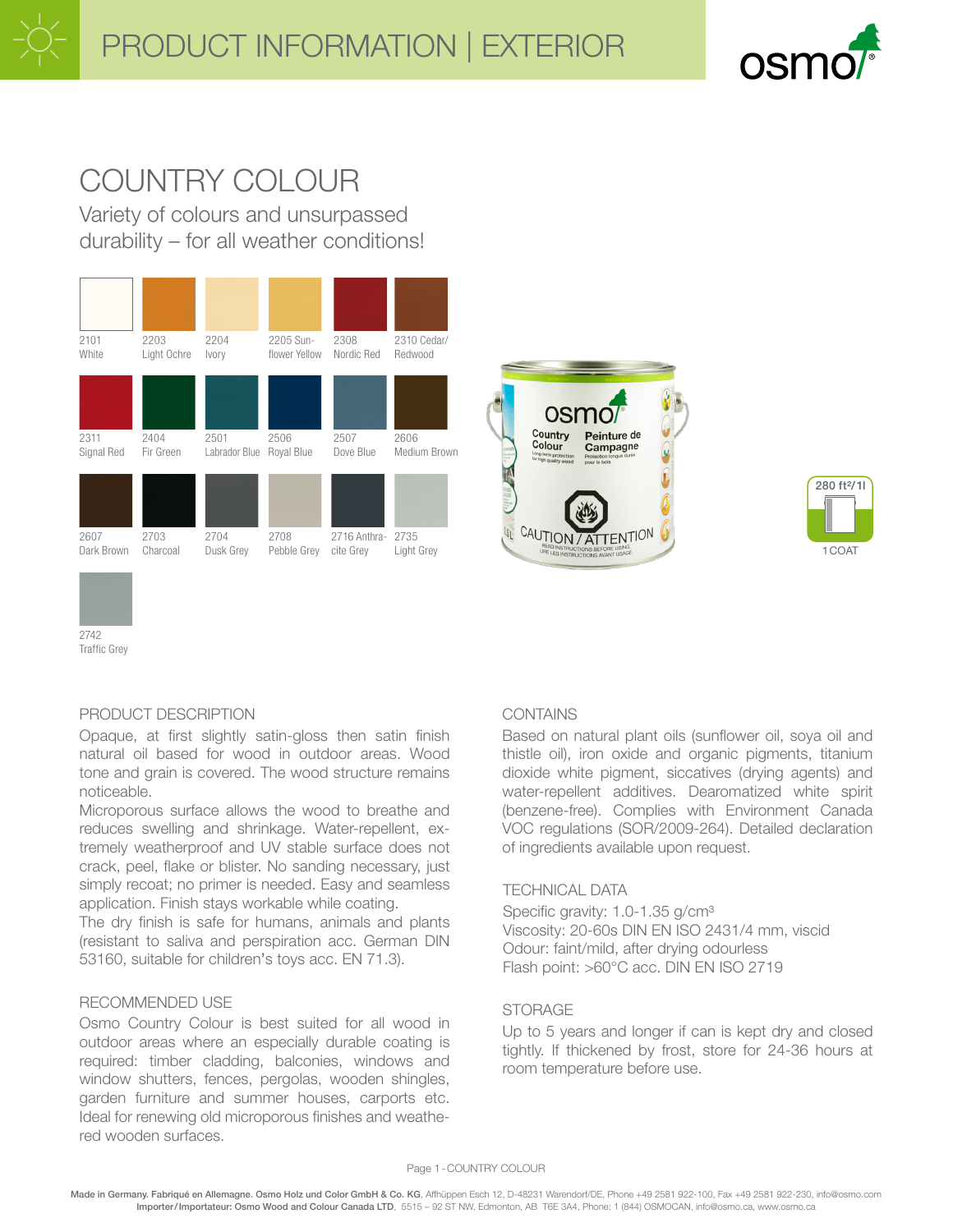

# COUNTRY COLOUR

Variety of colours and unsurpassed durability – for all weather conditions!







# 2742 Traffic Grey

# PRODUCT DESCRIPTION

Opaque, at first slightly satin-gloss then satin finish natural oil based for wood in outdoor areas. Wood tone and grain is covered. The wood structure remains noticeable.

Microporous surface allows the wood to breathe and reduces swelling and shrinkage. Water-repellent, extremely weatherproof and UV stable surface does not crack, peel, flake or blister. No sanding necessary, just simply recoat; no primer is needed. Easy and seamless application. Finish stays workable while coating.

The dry finish is safe for humans, animals and plants (resistant to saliva and perspiration acc. German DIN 53160, suitable for children's toys acc. EN 71.3).

# RECOMMENDED USE

Osmo Country Colour is best suited for all wood in outdoor areas where an especially durable coating is required: timber cladding, balconies, windows and window shutters, fences, pergolas, wooden shingles, garden furniture and summer houses, carports etc. Ideal for renewing old microporous finishes and weathered wooden surfaces.

# **CONTAINS**

Based on natural plant oils (sunflower oil, soya oil and thistle oil), iron oxide and organic pigments, titanium dioxide white pigment, siccatives (drying agents) and water-repellent additives. Dearomatized white spirit (benzene-free). Complies with Environment Canada VOC regulations (SOR/2009-264). Detailed declaration of ingredients available upon request.

# TECHNICAL DATA

Specific gravity: 1.0-1.35 g/cm<sup>3</sup> Viscosity: 20-60s DIN EN ISO 2431/4 mm, viscid Odour: faint/mild, after drying odourless Flash point: >60°C acc. DIN EN ISO 2719

# STORAGE

Up to 5 years and longer if can is kept dry and closed tightly. If thickened by frost, store for 24-36 hours at room temperature before use.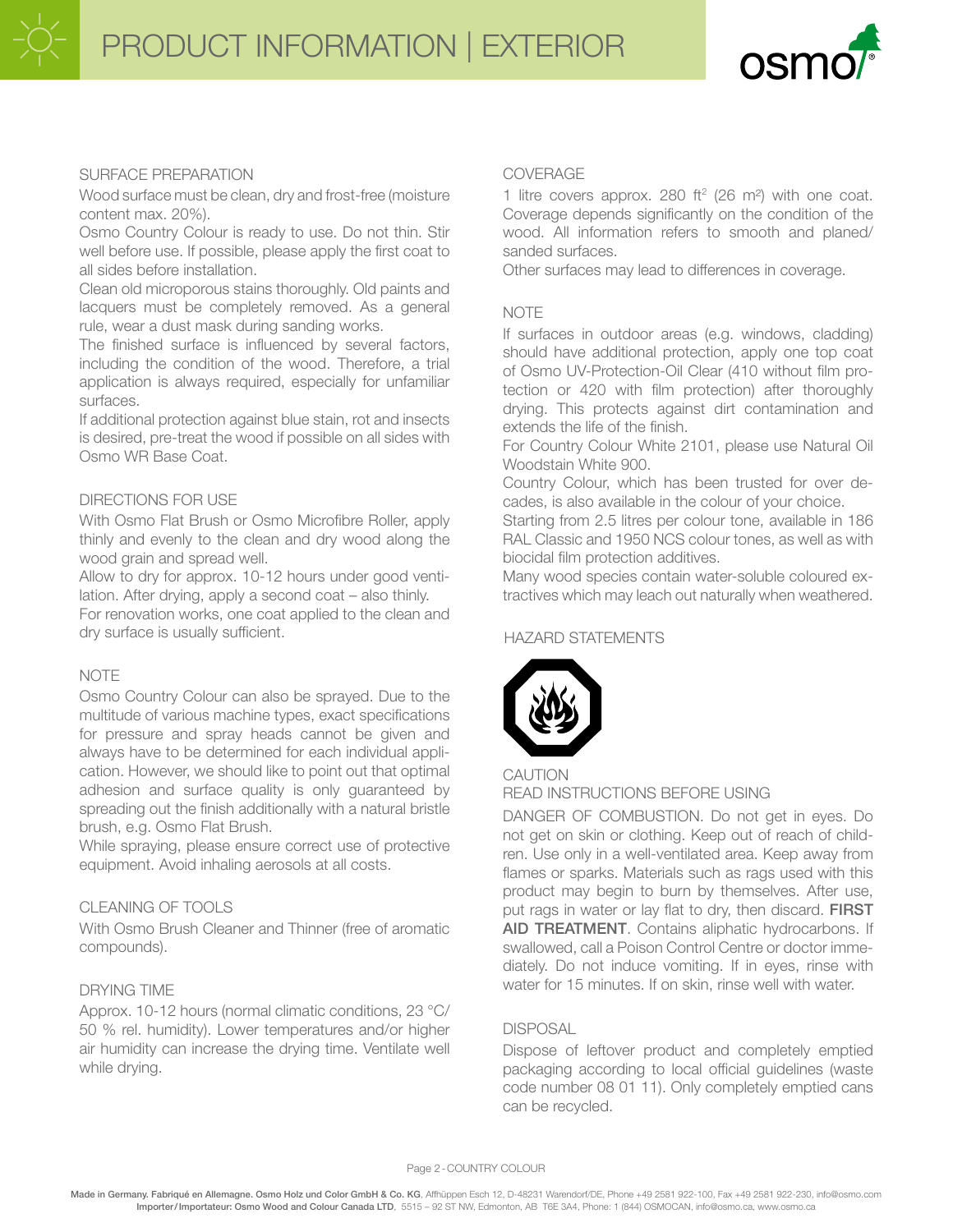PRODUCT INFORMATION | EXTERIOR



### SURFACE PREPARATION

Wood surface must be clean, dry and frost-free (moisture content max. 20%).

Osmo Country Colour is ready to use. Do not thin. Stir well before use. If possible, please apply the first coat to all sides before installation.

Clean old microporous stains thoroughly. Old paints and lacquers must be completely removed. As a general rule, wear a dust mask during sanding works.

The finished surface is influenced by several factors, including the condition of the wood. Therefore, a trial application is always required, especially for unfamiliar surfaces.

If additional protection against blue stain, rot and insects is desired, pre-treat the wood if possible on all sides with Osmo WR Base Coat.

### DIRECTIONS FOR USE

With Osmo Flat Brush or Osmo Microfibre Roller, apply thinly and evenly to the clean and dry wood along the wood grain and spread well.

Allow to dry for approx. 10-12 hours under good ventilation. After drying, apply a second coat – also thinly. For renovation works, one coat applied to the clean and dry surface is usually sufficient.

# NOTE

Osmo Country Colour can also be sprayed. Due to the multitude of various machine types, exact specifications for pressure and spray heads cannot be given and always have to be determined for each individual application. However, we should like to point out that optimal adhesion and surface quality is only guaranteed by spreading out the finish additionally with a natural bristle brush, e.g. Osmo Flat Brush.

While spraying, please ensure correct use of protective equipment. Avoid inhaling aerosols at all costs.

# CLEANING OF TOOLS

With Osmo Brush Cleaner and Thinner (free of aromatic compounds).

#### DRYING TIME

Approx. 10-12 hours (normal climatic conditions, 23 °C/ 50 % rel. humidity). Lower temperatures and/or higher air humidity can increase the drying time. Ventilate well while drying.

#### COVERAGE

1 litre covers approx. 280 ft<sup>2</sup> (26 m<sup>2</sup>) with one coat. Coverage depends significantly on the condition of the wood. All information refers to smooth and planed/ sanded surfaces.

Other surfaces may lead to differences in coverage.

#### **NOTE**

If surfaces in outdoor areas (e.g. windows, cladding) should have additional protection, apply one top coat of Osmo UV-Protection-Oil Clear (410 without film protection or 420 with film protection) after thoroughly drying. This protects against dirt contamination and extends the life of the finish.

For Country Colour White 2101, please use Natural Oil Woodstain White 900.

Country Colour, which has been trusted for over decades, is also available in the colour of your choice.

Starting from 2.5 litres per colour tone, available in 186 RAL Classic and 1950 NCS colour tones, as well as with biocidal film protection additives.

Many wood species contain water-soluble coloured extractives which may leach out naturally when weathered.

#### HAZARD STATEMENTS



#### CAUTION

READ INSTRUCTIONS BEFORE USING

DANGER OF COMBUSTION. Do not get in eyes. Do not get on skin or clothing. Keep out of reach of children. Use only in a well-ventilated area. Keep away from flames or sparks. Materials such as rags used with this product may begin to burn by themselves. After use, put rags in water or lay flat to dry, then discard. FIRST AID TREATMENT. Contains aliphatic hydrocarbons. If swallowed, call a Poison Control Centre or doctor immediately. Do not induce vomiting. If in eyes, rinse with water for 15 minutes. If on skin, rinse well with water.

#### **DISPOSAL**

Dispose of leftover product and completely emptied packaging according to local official guidelines (waste code number 08 01 11). Only completely emptied cans can be recycled.